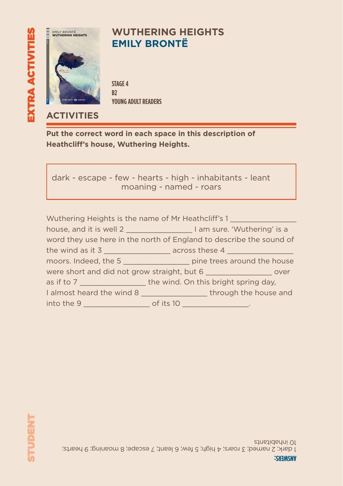

### **WUTHERING HEIGHTS EMILY BRONTË**

**STAGE 4 B2 YOUNG ADULT READERS**

### **ACTIVITIES**

**Put the correct word in each space in this description of Heathcliff's house, Wuthering Heights.**

dark - escape - few - hearts - high - inhabitants - leant moaning - named - roars

|                                                                     | Wuthering Heights is the name of Mr Heathcliff's 1                               |  |  |  |  |  |
|---------------------------------------------------------------------|----------------------------------------------------------------------------------|--|--|--|--|--|
|                                                                     | house, and it is well 2 _________________________I am sure. 'Wuthering' is a     |  |  |  |  |  |
| word they use here in the north of England to describe the sound of |                                                                                  |  |  |  |  |  |
|                                                                     | the wind as it 3 _______________________ across these 4 ________________________ |  |  |  |  |  |
|                                                                     | moors. Indeed, the 5 ____________________ pine trees around the house            |  |  |  |  |  |
|                                                                     | were short and did not grow straight, but 6 _____________________ over           |  |  |  |  |  |
|                                                                     | as if to 7 _____________________the wind. On this bright spring day,             |  |  |  |  |  |
|                                                                     | I almost heard the wind 8 ___________________through the house and               |  |  |  |  |  |
|                                                                     | <u> 1989 - John Stone, mars et al.</u>                                           |  |  |  |  |  |

1 dark; 2 named; 3 roars; 4 high; 5 few; 6 leant; 7 escape; 8 moaning; 9 hearts; 10 inhabitants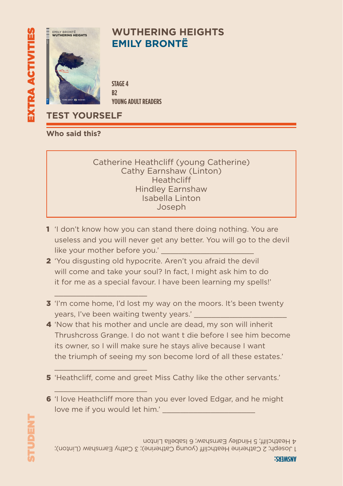

### **WUTHERING HEIGHTS EMILY BRONTË**

**STAGE 4 B2 YOUNG ADULT READERS**

**TEST YOURSELF**

 $\mathcal{L}=\mathcal{L}=\mathcal{L}=\mathcal{L}=\mathcal{L}=\mathcal{L}=\mathcal{L}=\mathcal{L}=\mathcal{L}=\mathcal{L}=\mathcal{L}=\mathcal{L}=\mathcal{L}=\mathcal{L}=\mathcal{L}=\mathcal{L}=\mathcal{L}=\mathcal{L}=\mathcal{L}=\mathcal{L}=\mathcal{L}=\mathcal{L}=\mathcal{L}=\mathcal{L}=\mathcal{L}=\mathcal{L}=\mathcal{L}=\mathcal{L}=\mathcal{L}=\mathcal{L}=\mathcal{L}=\mathcal{L}=\mathcal{L}=\mathcal{L}=\mathcal{L}=\mathcal{L}=\mathcal{$ 

 $\mathcal{L}=\mathcal{L}=\mathcal{L}=\mathcal{L}=\mathcal{L}=\mathcal{L}=\mathcal{L}=\mathcal{L}=\mathcal{L}=\mathcal{L}=\mathcal{L}=\mathcal{L}=\mathcal{L}=\mathcal{L}=\mathcal{L}=\mathcal{L}=\mathcal{L}=\mathcal{L}=\mathcal{L}=\mathcal{L}=\mathcal{L}=\mathcal{L}=\mathcal{L}=\mathcal{L}=\mathcal{L}=\mathcal{L}=\mathcal{L}=\mathcal{L}=\mathcal{L}=\mathcal{L}=\mathcal{L}=\mathcal{L}=\mathcal{L}=\mathcal{L}=\mathcal{L}=\mathcal{L}=\mathcal{$ 

 $\mathcal{L}=\mathcal{L}=\mathcal{L}=\mathcal{L}=\mathcal{L}=\mathcal{L}=\mathcal{L}=\mathcal{L}=\mathcal{L}=\mathcal{L}=\mathcal{L}=\mathcal{L}=\mathcal{L}=\mathcal{L}=\mathcal{L}=\mathcal{L}=\mathcal{L}=\mathcal{L}=\mathcal{L}=\mathcal{L}=\mathcal{L}=\mathcal{L}=\mathcal{L}=\mathcal{L}=\mathcal{L}=\mathcal{L}=\mathcal{L}=\mathcal{L}=\mathcal{L}=\mathcal{L}=\mathcal{L}=\mathcal{L}=\mathcal{L}=\mathcal{L}=\mathcal{L}=\mathcal{L}=\mathcal{$ 

**Who said this?**

Catherine Heathcliff (young Catherine) Cathy Earnshaw (Linton) **Heathcliff** Hindley Earnshaw Isabella Linton Joseph

- 1 'I don't know how you can stand there doing nothing. You are useless and you will never get any better. You will go to the devil like your mother before you.'
- 2 'You disgusting old hypocrite. Aren't you afraid the devil will come and take your soul? In fact, I might ask him to do it for me as a special favour. I have been learning my spells!'
- **3** 'I'm come home, I'd lost my way on the moors. It's been twenty vears. I've been waiting twenty years.'
- 4 'Now that his mother and uncle are dead, my son will inherit Thrushcross Grange. I do not want t die before I see him become its owner, so I will make sure he stays alive because I want the triumph of seeing my son become lord of all these estates.'
- 5 'Heathcliff, come and greet Miss Cathy like the other servants.'
- 6 'I love Heathcliff more than you ever loved Edgar, and he might love me if you would let him.'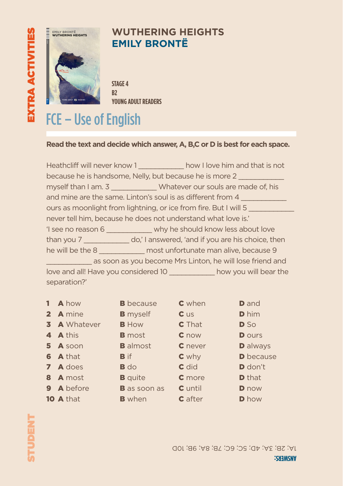# - 5 Love and Hatred Jealousy and Revenge Victorian Society **Eli Readers is a beautifully illustrated series of timeless classics and C**<br>C<sub>2</sub> EXTRA ACTIVITIES STUDENT



### **WUTHERING HEIGHTS EMILY BRONTË**

**STAGE 4 B2 YOUNG ADULT READERS**

# FCE – Use of English

### **Read the text and decide which answer, A, B,C or D is best for each space.**

|                                                                  |  | Heathcliff will never know 1 Now I love him and that is not                   |  |  |  |
|------------------------------------------------------------------|--|-------------------------------------------------------------------------------|--|--|--|
| because he is handsome, Nelly, but because he is more 2          |  |                                                                               |  |  |  |
|                                                                  |  | myself than I am. 3 ______________ Whatever our souls are made of, his        |  |  |  |
| and mine are the same. Linton's soul is as different from 4      |  |                                                                               |  |  |  |
| ours as moonlight from lightning, or ice from fire. But I will 5 |  |                                                                               |  |  |  |
| never tell him, because he does not understand what love is."    |  |                                                                               |  |  |  |
|                                                                  |  | 'I see no reason 6 ______________ why he should know less about love          |  |  |  |
|                                                                  |  | than you 7 ________________ do,' I answered, 'and if you are his choice, then |  |  |  |
|                                                                  |  | he will be the 8 _____________ most unfortunate man alive, because 9          |  |  |  |
|                                                                  |  | as soon as you become Mrs Linton, he will lose friend and                     |  |  |  |
|                                                                  |  | love and all! Have you considered 10 ____________ how you will bear the       |  |  |  |
| separation?'                                                     |  |                                                                               |  |  |  |

| 1 A how    |                     | <b>B</b> because    | <b>C</b> when | <b>D</b> and     |
|------------|---------------------|---------------------|---------------|------------------|
| 2 A mine   |                     | <b>B</b> myself     | $c$ us        | <b>D</b> him     |
|            | <b>3</b> A Whatever | <b>B</b> How        | <b>C</b> That | <b>D</b> So      |
| 4 A this   |                     | <b>B</b> most       | C now         | <b>D</b> ours    |
| 5 A soon   |                     | <b>B</b> almost     | C never       | <b>D</b> always  |
| 6 A that   |                     | <b>B</b> if         | $c$ why       | <b>D</b> because |
| 7 A does   |                     | $B$ do              | $C$ did       | <b>D</b> don't   |
| 8 A most   |                     | <b>B</b> quite      | <b>C</b> more | <b>D</b> that    |
| 9 A before |                     | <b>B</b> as soon as | C until       | <b>D</b> now     |
| 10 A that  |                     | <b>B</b> when       | C after       | <b>D</b> how     |